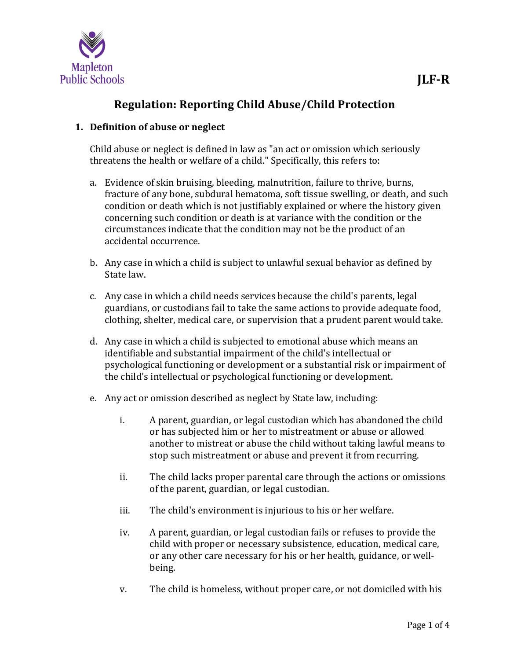

# **Regulation: Reporting Child Abuse/Child Protection**

## **1. Definition of abuse or neglect**

Child abuse or neglect is defined in law as "an act or omission which seriously threatens the health or welfare of a child." Specifically, this refers to:

- a. Evidence of skin bruising, bleeding, malnutrition, failure to thrive, burns, fracture of any bone, subdural hematoma, soft tissue swelling, or death, and such condition or death which is not justifiably explained or where the history given concerning such condition or death is at variance with the condition or the circumstances indicate that the condition may not be the product of an accidental occurrence.
- b. Any case in which a child is subject to unlawful sexual behavior as defined by State law.
- c. Any case in which a child needs services because the child's parents, legal guardians, or custodians fail to take the same actions to provide adequate food, clothing, shelter, medical care, or supervision that a prudent parent would take.
- d. Any case in which a child is subjected to emotional abuse which means an identifiable and substantial impairment of the child's intellectual or psychological functioning or development or a substantial risk or impairment of the child's intellectual or psychological functioning or development.
- e. Any act or omission described as neglect by State law, including:
	- i. A parent, guardian, or legal custodian which has abandoned the child or has subjected him or her to mistreatment or abuse or allowed another to mistreat or abuse the child without taking lawful means to stop such mistreatment or abuse and prevent it from recurring.
	- ii. The child lacks proper parental care through the actions or omissions of the parent, guardian, or legal custodian.
	- iii. The child's environment is injurious to his or her welfare.
	- iv. A parent, guardian, or legal custodian fails or refuses to provide the child with proper or necessary subsistence, education, medical care, or any other care necessary for his or her health, guidance, or wellbeing.
	- v. The child is homeless, without proper care, or not domiciled with his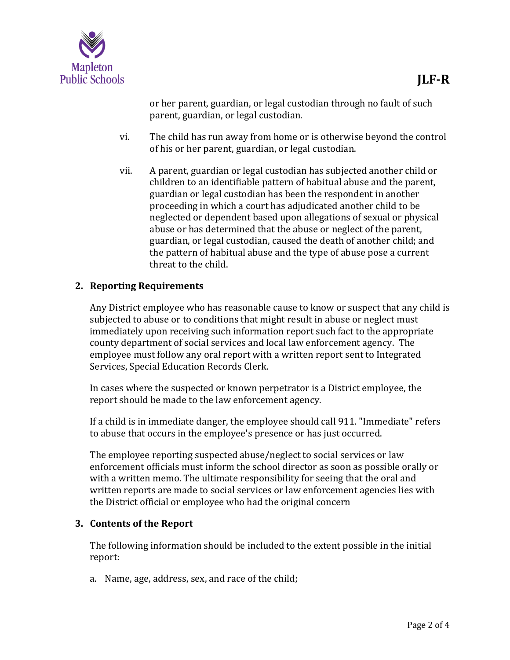

or her parent, guardian, or legal custodian through no fault of such parent, guardian, or legal custodian.

- vi. The child has run away from home or is otherwise beyond the control of his or her parent, guardian, or legal custodian.
- vii. A parent, guardian or legal custodian has subjected another child or children to an identifiable pattern of habitual abuse and the parent, guardian or legal custodian has been the respondent in another proceeding in which a court has adjudicated another child to be neglected or dependent based upon allegations of sexual or physical abuse or has determined that the abuse or neglect of the parent, guardian, or legal custodian, caused the death of another child; and the pattern of habitual abuse and the type of abuse pose a current threat to the child.

## **2. Reporting Requirements**

Any District employee who has reasonable cause to know or suspect that any child is subjected to abuse or to conditions that might result in abuse or neglect must immediately upon receiving such information report such fact to the appropriate county department of social services and local law enforcement agency. The employee must follow any oral report with a written report sent to Integrated Services, Special Education Records Clerk.

In cases where the suspected or known perpetrator is a District employee, the report should be made to the law enforcement agency.

If a child is in immediate danger, the employee should call 911. "Immediate" refers to abuse that occurs in the employee's presence or has just occurred.

The employee reporting suspected abuse/neglect to social services or law enforcement officials must inform the school director as soon as possible orally or with a written memo. The ultimate responsibility for seeing that the oral and written reports are made to social services or law enforcement agencies lies with the District official or employee who had the original concern

## **3. Contents of the Report**

The following information should be included to the extent possible in the initial report:

a. Name, age, address, sex, and race of the child;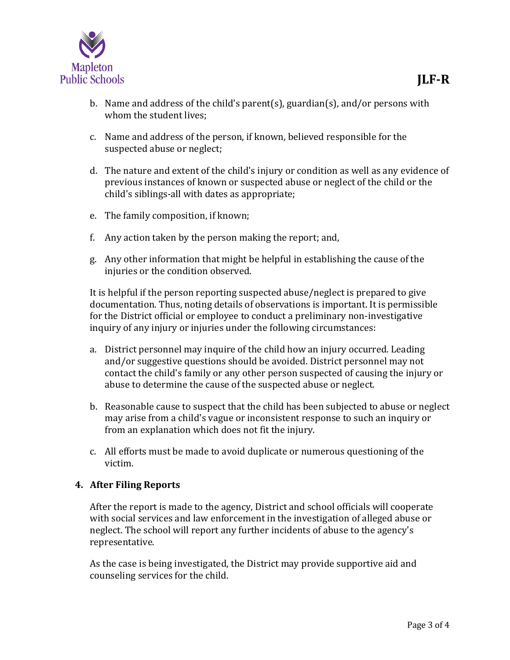

- b. Name and address of the child's parent(s), guardian(s), and/or persons with whom the student lives;
- c. Name and address of the person, if known, believed responsible for the suspected abuse or neglect;
- d. The nature and extent of the child's injury or condition as well as any evidence of previous instances of known or suspected abuse or neglect of the child or the child's siblings-all with dates as appropriate;
- e. The family composition, if known;
- f. Any action taken by the person making the report; and,
- g. Any other information that might be helpful in establishing the cause of the injuries or the condition observed.

It is helpful if the person reporting suspected abuse/neglect is prepared to give documentation. Thus, noting details of observations is important. It is permissible for the District official or employee to conduct a preliminary non-investigative inquiry of any injury or injuries under the following circumstances:

- a. District personnel may inquire of the child how an injury occurred. Leading and/or suggestive questions should be avoided. District personnel may not contact the child's family or any other person suspected of causing the injury or abuse to determine the cause of the suspected abuse or neglect.
- b. Reasonable cause to suspect that the child has been subjected to abuse or neglect may arise from a child's vague or inconsistent response to such an inquiry or from an explanation which does not fit the injury.
- c. All efforts must be made to avoid duplicate or numerous questioning of the victim.

#### **4. After Filing Reports**

After the report is made to the agency, District and school officials will cooperate with social services and law enforcement in the investigation of alleged abuse or neglect. The school will report any further incidents of abuse to the agency's representative.

As the case is being investigated, the District may provide supportive aid and counseling services for the child.